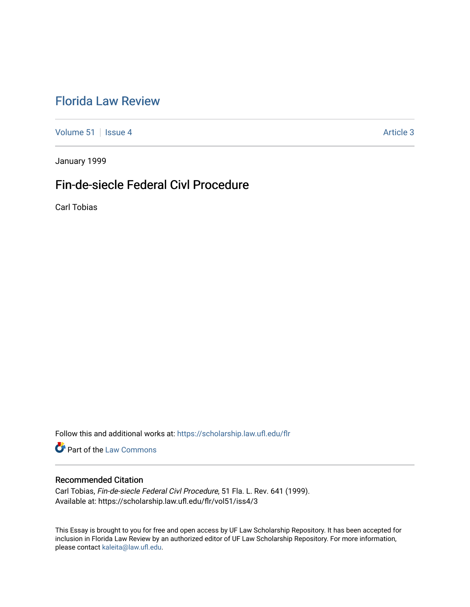# [Florida Law Review](https://scholarship.law.ufl.edu/flr)

[Volume 51](https://scholarship.law.ufl.edu/flr/vol51) | [Issue 4](https://scholarship.law.ufl.edu/flr/vol51/iss4) Article 3

January 1999

# Fin-de-siecle Federal Civl Procedure

Carl Tobias

Follow this and additional works at: [https://scholarship.law.ufl.edu/flr](https://scholarship.law.ufl.edu/flr?utm_source=scholarship.law.ufl.edu%2Fflr%2Fvol51%2Fiss4%2F3&utm_medium=PDF&utm_campaign=PDFCoverPages)

**Part of the [Law Commons](http://network.bepress.com/hgg/discipline/578?utm_source=scholarship.law.ufl.edu%2Fflr%2Fvol51%2Fiss4%2F3&utm_medium=PDF&utm_campaign=PDFCoverPages)** 

### Recommended Citation

Carl Tobias, Fin-de-siecle Federal Civl Procedure, 51 Fla. L. Rev. 641 (1999). Available at: https://scholarship.law.ufl.edu/flr/vol51/iss4/3

This Essay is brought to you for free and open access by UF Law Scholarship Repository. It has been accepted for inclusion in Florida Law Review by an authorized editor of UF Law Scholarship Repository. For more information, please contact [kaleita@law.ufl.edu](mailto:kaleita@law.ufl.edu).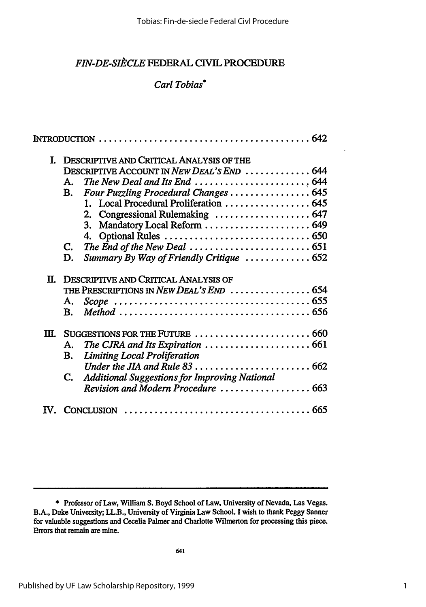## *FIN-DE-SItCLE* FEDERAL CIVIL PROCEDURE

## *Carl Tobias\**

|         | I. DESCRIPTIVE AND CRITICAL ANALYSIS OF THE                                      |
|---------|----------------------------------------------------------------------------------|
|         | DESCRIPTIVE ACCOUNT IN NEW DEAL'S END  644                                       |
|         | The New Deal and Its End $\ldots \ldots \ldots \ldots \ldots \ldots$ , 644<br>А. |
|         | Four Puzzling Procedural Changes  645<br>В.                                      |
|         | 1. Local Procedural Proliferation  645                                           |
|         | 2. Congressional Rulemaking  647                                                 |
|         | Mandatory Local Reform  649<br>3.                                                |
|         |                                                                                  |
|         | C.                                                                               |
|         | Summary By Way of Friendly Critique  652<br>D.                                   |
|         | II. DESCRIPTIVE AND CRITICAL ANALYSIS OF                                         |
|         | THE PRESCRIPTIONS IN NEW DEAL'S END  654                                         |
|         | А.                                                                               |
|         | B.                                                                               |
| $\Pi$ . |                                                                                  |
|         | Α.                                                                               |
|         | <b>Limiting Local Proliferation</b><br>В.                                        |
|         |                                                                                  |
|         | C. Additional Suggestions for Improving National                                 |
|         |                                                                                  |
|         | CONCLUSION                                                                       |

**<sup>\*</sup>** Professor of Law, William **S.** Boyd School of Law, University of Nevada, Las Vegas. B.A., Duke University; LL.B., University of Virginia Law School. **I** wish to thank Peggy Sanner for valuable suggestions and Cecelia Palmer and Charlotte Wilmerton for processing this piece. Errors that remain are mine.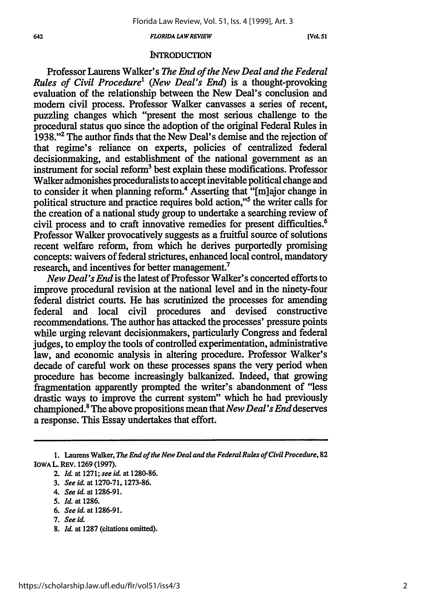#### **642** *FLORIDA LA W REVIEW* **[Vol. 51**

### **INTRODUCTION**

Professor Laurens Walker's *The End of the New Deal and the Federal Rules of Civil Procedure1 (New Deal's End)* is a thought-provoking evaluation of the relationship between the New Deal's conclusion and modem civil process. Professor Walker canvasses a series of recent, puzzling changes which "present the most serious challenge to the procedural status quo since the adoption of the original Federal Rules in **1938."' 2** The author finds that the New Deal's demise and the rejection of that regime's reliance on experts, policies of centralized federal decisionmaking, and establishment of the national government as an instrument for social reform<sup>3</sup> best explain these modifications. Professor Walker admonishes proceduralists to accept inevitable political change and to consider it when planning reform.<sup>4</sup> Asserting that "[m]ajor change in political structure and practice requires bold action,"5 the writer calls for the creation of a national study group to undertake a searching review of civil process and to craft innovative remedies for present difficulties.<sup>6</sup> Professor Walker provocatively suggests as a fruitful source of solutions recent welfare reform, from which he derives purportedly promising concepts: waivers of federal strictures, enhanced local control, mandatory research, and incentives for better management.<sup>7</sup>

*New Deal's End* is the latest of Professor Walker's concerted efforts to improve procedural revision at the national level and in the ninety-four federal district courts. He has scrutinized the processes for amending federal and local civil procedures and devised constructive recommendations. The author has attacked the processes' pressure points while urging relevant decisionmakers, particularly Congress and federal judges, to employ the tools of controlled experimentation, administrative law, and economic analysis in altering procedure. Professor Walker's decade of careful work on these processes spans the very period when procedure has become increasingly balkanized. Indeed, that growing fragmentation apparently prompted the writer's abandonment of "less drastic ways to improve the current system" which he had previously championed.8 The above propositions mean that *New Deal's End* deserves a response. This Essay undertakes that effort.

- *5. Id.* at **1286.**
- **6.** *See id.* at **1286-91.**
- **7.** *See id.*
- **8.** *Id.* at **1287** (citations omitted).

**<sup>1.</sup>** Laurens Walker, *The End of the New Deal and the Federal Rules of Civil Procedure,* **82 IOWA** L. REV. **1269 (1997).**

<sup>2.</sup> *Id.* at **1271;** *see id.* at **1280-86.**

**<sup>3.</sup>** *See id.* at **1270-71, 1273-86.**

<sup>4.</sup> *See id.* **at 1286-91.**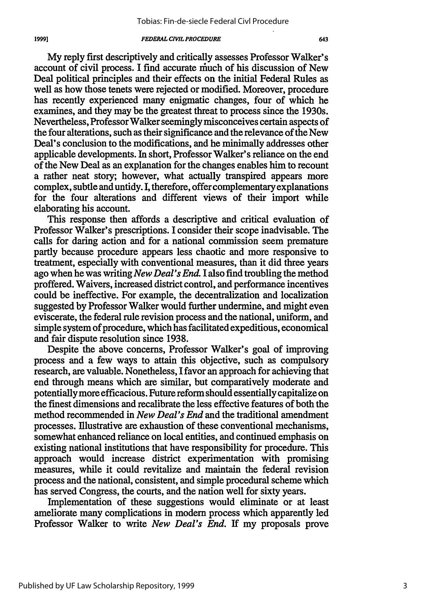19991

My reply first descriptively and critically assesses Professor Walker's account of civil process. I find accurate niuch of his discussion of New Deal political principles and their effects on the initial Federal Rules as well as how those tenets were rejected or modified. Moreover, procedure has recently experienced many enigmatic changes, four of which he examines, and they may be the greatest threat to process since the 1930s. Nevertheless, Professor Walker seemingly misconceives certain aspects of the four alterations, such as their significance and the relevance of the New Deal's conclusion to the modifications, and he minimally addresses other applicable developments. In short, Professor Walker's reliance on the end of the New Deal as an explanation for the changes enables him to recount a rather neat story; however, what actually transpired appears more complex, subtle and untidy. I, therefore, offer complementary explanations for the four alterations and different views of their import while elaborating his account.

This response then affords a descriptive and critical evaluation of Professor Walker's prescriptions. I consider their scope inadvisable. The calls for daring action and for a national commission seem premature partly because procedure appears less chaotic and more responsive to treatment, especially with conventional measures, than it did three years ago when he was writing *New Deal's End.* I also find troubling the method proffered. Waivers, increased district control, and performance incentives could be ineffective. For example, the decentralization and localization suggested by Professor Walker would further undermine, and might even eviscerate, the federal rule revision process and the national, uniform, and simple system of procedure, which has facilitated expeditious, economical and fair dispute resolution since 1938.

Despite the above concerns, Professor Walker's goal of improving process and a few ways to attain this objective, such as compulsory research, are valuable. Nonetheless, I favor an approach for achieving that end through means which are similar, but comparatively moderate and potentially more efficacious. Future reform should essentially capitalize on the finest dimensions and recalibrate the less effective features of both the method recommended in *New Deal's End* and the traditional amendment processes. Illustrative are exhaustion of these conventional mechanisms, somewhat enhanced reliance on local entities, and continued emphasis on existing national institutions that have responsibility for procedure. This approach would increase district experimentation with promising measures, while it could revitalize and maintain the federal revision process and the national, consistent, and simple procedural scheme which has served Congress, the courts, and the nation well for sixty years.

Implementation of these suggestions would eliminate or at least ameliorate many complications in modem process which apparently led Professor Walker to write *New Deal's End.* If my proposals prove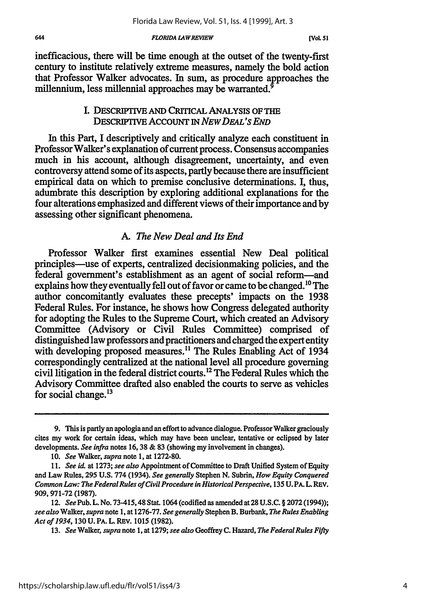*FLORIDA £4 WREVIEW*

inefficacious, there will be time enough at the outset of the twenty-first century to institute relatively extreme measures, namely the bold action that Professor Walker advocates. In sum, as procedure approaches the millennium, less millennial approaches may be warranted.<sup>9</sup>

### I. DESCRIPTIVE AND CRITICAL ANALYSIS OF THE DESCRIPrVE AccouNT *IN NEw DEAL'S END*

**In** this Part, I descriptively and critically analyze each constituent in Professor Walker's explanation of current process. Consensus accompanies much in his account, although disagreement, uncertainty, and even controversy attend some of its aspects, partly because there are insufficient empirical data on which to premise conclusive determinations. I, thus, adumbrate this description by exploring additional explanations for the four alterations emphasized and different views of their importance and by assessing other significant phenomena.

### A. *The New Deal and Its End*

Professor Walker first examines essential New Deal political principles-use of experts, centralized decisionmaking policies, and the federal government's establishment as an agent of social reform-and explains how they eventually fell out of favor or came to be changed.<sup>10</sup> The author concomitantly evaluates these precepts' impacts on the 1938 Federal Rules. For instance, he shows how Congress delegated authority for adopting the Rules to the Supreme Court, which created an Advisory Committee (Advisory or Civil Rules Committee) comprised of distinguished law professors and practitioners and charged the expert entity with developing proposed measures.<sup>11</sup> The Rules Enabling Act of 1934 correspondingly centralized at the national level all procedure governing civil litigation in the federal district courts.<sup>12</sup> The Federal Rules which the Advisory Committee drafted also enabled the courts to serve as vehicles for social change.<sup>13</sup>

13. *See* Walker, *supra* note 1, at 1279; *see also* Geoffrey C. Hazard, *The FederalRules Fifty*

**<sup>9.</sup>** This is partly an apologia and an effort to advance dialogue. Professor Walker graciously cites my work for certain ideas, which may have been unclear, tentative or eclipsed by later developments. *See infra* notes 16,38 & **83** (showing my involvement in changes).

<sup>10.</sup> *See* Walker, *supra* note 1, at 1272-80.

<sup>11.</sup> See id. at 1273; see also Appointment of Committee to Draft Unified System of Equity and Law Rules, **295 U.S.** 774 (1934). *See generally* Stephen N. Subrin, *How Equity Conquered Common Law: The Federal Rules of Civil Procedure in Historical Perspective,* 135 U. PA. L. REV. 909, 971-72 (1987).

<sup>12.</sup> *See* Pub. L. No. 73-415,48 Stat. 1064 (codified as amended at 28 **U.S.C.** § **2072** (1994)); *see also* Walker, *supra* note 1, at 1276-77. *See generally* Stephen B. Burbank, *The Rules Enabling Act of 1934,* 130 U. PA. L. REV. 1015 (1982).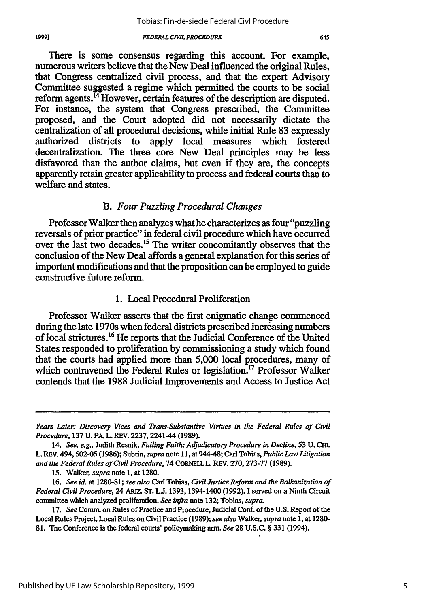There is some consensus regarding this account. For example, numerous writers believe that the New Deal influenced the original Rules, that Congress centralized civil process, and that the expert Advisory Committee suggested a regime which permitted the courts to be social reform agents. 4 However, certain features of the description are disputed. For instance, the system that Congress prescribed, the Committee proposed, and the Court adopted did not necessarily dictate the centralization of all procedural decisions, while initial Rule 83 expressly authorized districts to apply local measures which fostered decentralization. The three core New Deal principles may be less disfavored than the author claims, but even if they are, the concepts apparently retain greater applicability to process and federal courts than to welfare and states.

### *B. Four Puzzling Procedural Changes*

Professor Walker then analyzes what he characterizes as four "puzzling reversals of prior practice" in federal civil procedure which have occurred over the last two decades.<sup>15</sup> The writer concomitantly observes that the conclusion of the New Deal affords a general explanation for this series of important modifications and that the proposition can be employed to guide constructive future reform.

### 1. Local Procedural Proliferation

Professor Walker asserts that the first enigmatic change commenced during the late 1970s when federal districts prescribed increasing numbers of local strictures.16 He reports that the Judicial Conference of the United States responded to proliferation by commissioning a study which found that the courts had applied more than 5,000 local procedures, many of which contravened the Federal Rules or legislation.<sup>17</sup> Professor Walker contends that the 1988 Judicial Improvements and Access to Justice Act

19991

*Years Later: Discovery Vices and Trans-Substantive Virtues in the Federal Rules of Civil Procedure,* **137 U.** PA. L. REV. **2237,** 2241-44 **(1989).**

<sup>14.</sup> *See, e.g.,* Judith Resnik, *Failing Faith: Adjudicatory Procedure in Decline,* **53 U.** CHm. L. REV. 494,502-05 **(1986);** Subrin, *supra* note **11,** at 944-48; Carl Tobias, *Public Law Litigation and the Federal Rules of Civil Procedure,* 74 CORNEIL L. REV. **270, 273-77 (1989).**

**<sup>15.</sup>** Walker, *supra* note **1,** at **1280.**

**<sup>16.</sup>** *See id.* at **1280-81;** *see also* Carl Tobias, *Civil Justice Reform and the Balkanization of Federal Civil Procedure,* 24 *ARIZ.* **ST. L.J.** 1393, 1394-1400 **(1992). I** served on a Ninth Circuit committee which analyzed proliferation. *See infra* note **132;** Tobias, *supra.*

**<sup>17.</sup>** *See* Comm. on Rules of Practice and Procedure, Judicial Conf. of the **U.S.** Report of the Local Rules Project, Local Rules on Civil Practice **(1989);** *see also* Walker, *supra* note **1,** at **1280- 81.** The Conference is the federal courts' policymaking arm. *See* **28 U.S.C.** § **331** (1994).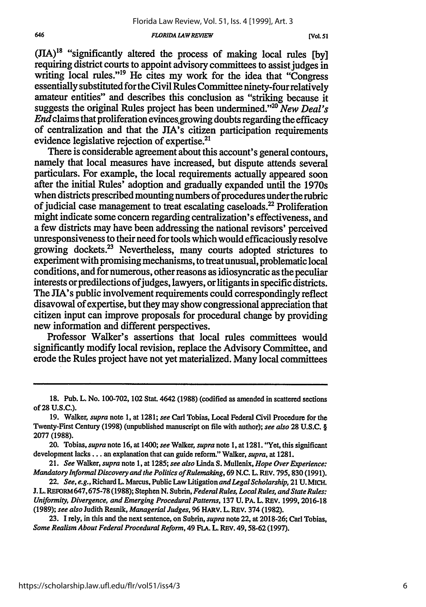#### *FLORIDA LA WREVIEW*

 $(JIA)^{18}$  "significantly altered the process of making local rules [by] requiring district courts to appoint advisory committees to assist judges in writing local rules."<sup>19</sup> He cites my work for the idea that "Congress" essentially substituted for the Civil Rules Committee ninety-four relatively amateur entities" and describes this conclusion as "striking because it suggests the original Rules project has been undermined."<sup>20</sup> New Deal's *End* claims that proliferation evinces.growing doubts regarding the efficacy of centralization and that the JIA's citizen participation requirements evidence legislative rejection of expertise.<sup>2</sup>

There is considerable agreement about this account's general contours, namely that local measures have increased, but dispute attends several particulars. For example, the local requirements actually appeared soon after the initial Rules' adoption and gradually expanded until the 1970s when districts prescribed mounting numbers of procedures under the rubric of judicial case management to treat escalating caseloads.<sup>22</sup> Proliferation might indicate some concern regarding centralization's effectiveness, and a few districts may have been addressing the national revisors' perceived unresponsiveness to their need for tools which would efficaciously resolve growing dockets.23 Nevertheless, many courts adopted strictures to experiment with promising mechanisms, to treat unusual, problematic local conditions, and for numerous, other reasons as idiosyncratic as the peculiar interests or predilections of judges, lawyers, or litigants in specific districts. The JIA's public involvement requirements could correspondingly reflect disavowal of expertise, but they may show congressional appreciation that citizen input can improve proposals for procedural change by providing new information and different perspectives.

Professor Walker's assertions that local rules committees would significantly modify local revision, replace the Advisory Committee, and erode the Rules project have not yet materialized. Many local committees

**<sup>18.</sup>** Pub. L. No. 100-702, 102 Stat. 4642 (1988) (codified as amended in scattered sections of **28 U.S.C.).**

**<sup>19.</sup>** Walker, *supra* note **1,** at **1281;** *see* Carl Tobias, Local Federal Civil Procedure for the Twenty-First Century **(1998)** (unpublished manuscript on file with author); *see also* **28 U.S.C.** § **2077 (1988).**

<sup>20.</sup> Tobias, *supra* note **16,** at 1400; *see* Walker, *supra* note **1,** at **1281.** "Yet, this significant development **lacks...** an explanation that can guide reform." Walker, *supra,* at **1281.**

<sup>21.</sup> *See* Walker, *supra* note **1,** at **1285;** *see also* Linda **S.** Mullenix, *Hope Over Experience: Mandatory Informal Discovery and the Politics of Rulemaking,* **69 N.C. L.** REV. **795, 830 (1991).**

<sup>22.</sup> *See, e.g.,* Richard L. Marcus, Public Law Litigation *and Legal Scholarship,* 21 **U.** MICH. **J. L. REFORM 647, 675-78 (1988); Stephen N. Subrin, Federal Rules, Local Rules, and State Rules:** *Uniformity, Divergence, and Emerging Procedural Patterns,* **137 U.** PA. L. REV. **1999, 2016-18 (1989);** *see also* Judith Resnik, *Managerial Judges,* **96** HARV. **L.** REV. 374 **(1982).**

**<sup>23.</sup> I** rely, in this and the next sentence, on Subrin, *supra* note 22, at **2018-26;** Carl Tobias, *Some Realism About Federal Procedural Reform,* 49 **FLA. L.** REV. **49,58-62 (1997).**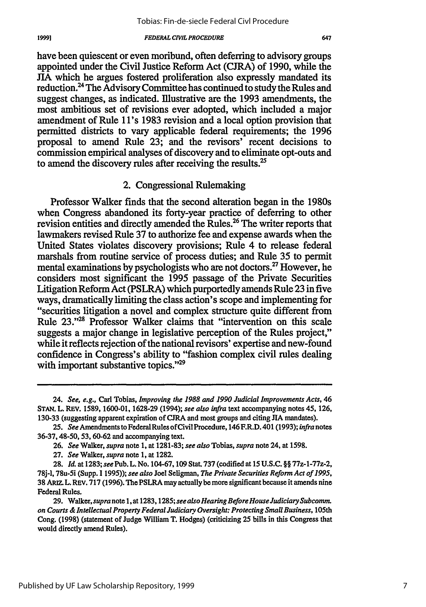have been quiescent or even moribund, often deferring to advisory groups appointed under the Civil Justice Reform Act **(CJRA)** of **1990,** while the JIA which he argues fostered proliferation also expressly mandated its reduction.<sup>24</sup> The Advisory Committee has continued to study the Rules and suggest changes, as indicated. Illustrative are the **1993** amendments, the most ambitious set of revisions ever adopted, which included a major amendment of Rule **1 l's 1983** revision and a local option provision that permitted districts to vary applicable federal requirements; the **1996** proposal to amend Rule **23;** and the revisors' recent decisions to commission empirical analyses of discovery and to eliminate opt-outs and to amend the discovery rules after receiving the results.<sup>25</sup>

### 2. Congressional Rulemaking

Professor Walker finds that the second alteration began in the 1980s when Congress abandoned its forty-year practice of deferring to other revision entities and directly amended the Rules.<sup>26</sup> The writer reports that lawmakers revised Rule **37** to authorize fee and expense awards when the United States violates discovery provisions; Rule 4 to release federal marshals from routine service of process duties; and Rule **35** to permit mental examinations **by** psychologists who are not doctors **.27** However, he considers most significant the **1995** passage of the Private Securities Litigation Reform Act (PSLRA) which purportedly amends Rule **23** in five ways, dramatically limiting the class action's scope and implementing for "securities litigation a novel and complex structure quite different from Rule **23."** Professor Walker claims that "intervention on this scale suggests a major change in legislative perception of the Rules project," while it reflects rejection of the national revisors' expertise and new-found confidence in Congress's ability to "fashion complex civil rules dealing with important substantive topics."<sup>29</sup>

<sup>24.</sup> *See, e.g.,* Carl Tobias, *Improving the 1988 and 1990 Judicial Improvements Acts, 46* **STAN.** L. REV. **1589, 1600-01, 1628-29** (1994); *see also infra* text accompanying notes 45, **126, 130-33** (suggesting apparent expiration of **CJRA** and most groups and citing **JIA** mandates).

**<sup>25.</sup>** *See* Amendments to FederalRulesofCivil Procedure, 146 F.R.D. **401(1993);** *infra* notes **36-37,** 48-50, **53, 60-62** and accompanying text.

**<sup>26.</sup>** *See* Walker, *supra* note **1,** at **1281-83;** *see also* Tobias, *supra* note 24, at **1598.**

**<sup>27.</sup>** *See* Walker, *supra* note **1,** at **1282.**

**<sup>28.</sup>** *Id.* at **1283;** *see* Pub. L. No. **104-67, 109** Stat. **737** (codified at **15 U.S.C.** §§ 77z-1-77z-2, **78j-1,** 78u-5i (Supp. **11995));** *see also* Joel Seligman, *The Private Securities Reform Act of 1995,* **38** ARIZ. L. REv. **717 (1996).** The PSLRA may actually be more significant because it amends nine Federal Rules.

**<sup>29.</sup>** Walker, *supra* note **1,** at **1283,1285;** *seealso Hearing Before HouseJudiciary Subcomm. on Courts & Intellectual Property Federal Judiciary Oversight: Protecting Small Business,* 105th Cong. **(1998)** (statement of Judge William T. Hodges) (criticizing **25** bills in this Congress that would directly amend Rules).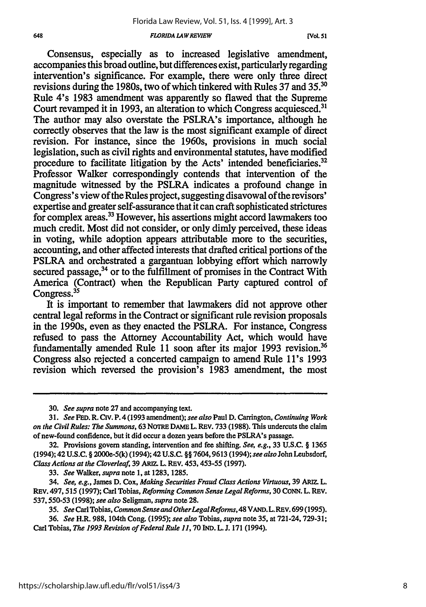#### *FLORIDA LAWREVIEW*

Consensus, especially as to increased legislative amendment, accompanies this broad outline, but differences exist, particularly regarding intervention's significance. For example, there were only three direct revisions during the 1980s, two of which tinkered with Rules 37 and **35.'** Rule 4's 1983 amendment was apparently so flawed that the Supreme Court revamped it in 1993, an alteration to which Congress acquiesced.<sup>31</sup> The author may also overstate the PSLRA's importance, although he correctly observes that the law is the most significant example of direct revision. For instance, since the 1960s, provisions in much social legislation, such as civil rights and environmental statutes, have modified procedure to facilitate litigation by the Acts' intended beneficiaries.<sup>32</sup> Professor Walker correspondingly contends that intervention of the magnitude witnessed by the PSLRA indicates a profound change in Congress's view of the Rules project, suggesting disavowal of the revisors' expertise and greater self-assurance that it can craft sophisticated strictures for complex areas.33 However, his assertions might accord lawmakers too much credit. Most did not consider, or only dimly perceived, these ideas in voting, while adoption appears attributable more to the securities, accounting, and other affected interests that drafted critical portions of the PSLRA and orchestrated a gargantuan lobbying effort which narrowly secured passage,<sup>34</sup> or to the fulfillment of promises in the Contract With America (Contract) when the Republican Party captured control of Congress.<sup>35</sup>

It is important to remember that lawmakers did not approve other central legal reforms in the Contract or significant rule revision proposals in the 1990s, even as they enacted the PSLRA. For instance, Congress refused to pass the Attorney Accountability Act, which would have fundamentally amended Rule 11 soon after its major 1993 revision.<sup>36</sup> Congress also rejected a concerted campaign to amend Rule **1** l's 1993 revision which reversed the provision's 1983 amendment, the most

**<sup>30.</sup>** *See supra* note **27** and accompanying text.

*<sup>31.</sup> See* **FED.** R. **Civ.** P. 4(1993 amendment); *see also* Paul **D.** Carrington, *Continuing Work on the Civil Rules: The Summons,* **63 NOTRE DAME L. REV. 733 (1988). This undercuts** the **claim** of new-found confidence, but it did occur a dozen years before the PSLRA's passage.

**<sup>32.</sup>** Provisions govern standing, intervention and fee shifting. *See, e.g.,* **33** U.S.C. § 1365 (1994); 42 **U.S.C.** § 2000e-5(k) (1994); 42 U.S.C. §§ 7604,9613 (1994); *see also* John Leubsdorf, *Class Actions at the Cloverleaf,* **39 ARmZ.** L. REV. 453, 453-55 (1997).

**<sup>33.</sup>** *See* Walker, *supra* note **1,** at **1283,** 1285.

<sup>34.</sup> *See, e.g.,* **James D.** *Cox, Making Securities Fraud Class Actions Virtuous,* **39 ARZ.** L. **REv. 497,515 (1997);** Carl Tobias, *Reforming Common Sense Legal Reforms,* 30 **CONN.** L. REV. **537,550-53 (1998);** *see also* Seligman, *supra* note **28.**

*<sup>35.</sup> See* Carl Tobias, *Common Sense and OtherLegalReforms,* 48 **VAND.** L. REV. 699 (1995).

**<sup>36.</sup>** *See* H.R. 988, 104th Cong. **(1995);** *see also* Tobias, *supra* note **35,** at 721-24, 729-31; Carl Tobias, *The 1993 Revision of Federal Rule 11,* **70 IND.** L. J. 171 (1994).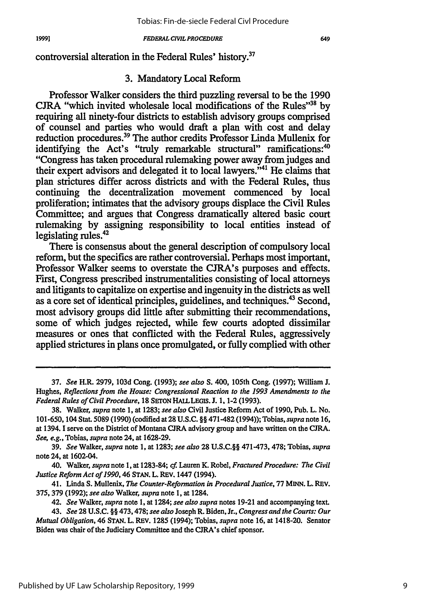controversial alteration in the Federal Rules' history.<sup>37</sup>

### **3.** Mandatory Local Reform

Professor Walker considers the third puzzling reversal to be the **1990 CJRA** "which invited wholesale local modifications of the Rules"38 **by** requiring all ninety-four districts to establish advisory groups comprised of counsel and parties who would draft a plan with cost and delay reduction procedures.39 The author credits Professor Linda Mullenix for identifying the Act's "truly remarkable structural" ramifications:<sup>40</sup> "Congress has taken procedural rulemaking power away from judges and their expert advisors and delegated it to local lawyers."<sup>41</sup> He claims that plan strictures differ across districts and with the Federal Rules, thus continuing the decentralization movement commenced **by** local proliferation; intimates that the advisory groups displace the Civil Rules Committee; and argues that Congress dramatically altered basic court rulemaking **by** assigning responsibility to local entities instead of legislating rules.42

There is consensus about the general description of compulsory local reform, but the specifics are rather controversial. Perhaps most important, Professor Walker seems to overstate the CJRA's purposes and effects. First, Congress prescribed instrumentalities consisting of local attorneys and litigants to capitalize on expertise and ingenuity in the districts as well as a core set of identical principles, guidelines, and techniques.43 Second, most advisory groups did little after submitting their recommendations, some of which judges rejected, while few courts adopted dissimilar measures or ones that conflicted with the Federal Rules, aggressively applied strictures in plans once promulgated, or fully complied with other

**39.** *See* Walker, *supra* note **1,** at **1283;** *see also* **28 U.S.C.§§** 471-473, 478; Tobias, *supra* note 24, at 1602-04.

40. Walker, *supra* note **1,** at 1283-84; 4 Lauren **K.** Robel, *Fractured Procedure: The Civil Justice Reform Act of 1990,46* **STAN. L.** REV. 1447 (1994).

41. Linda **S.** Mullenix, *The Counter-Reformation in Procedural Justice,* **77 MINN.** L. REV. **375, 379 (1992);** *see also* Walker, *supra* note **1,** at 1284.

42. *See* Walker, *supra* note **1,** at 1284; *see also supra* notes **19-21** and accompanying text.

**<sup>37.</sup>** *See* H.R. **2979, 103d** Cong. **(1993);** *see also* **S.** 400, 105th Cong. **(1997);** William **J.** Hughes, *Reflections from the House: Congressional Reaction to the 1993 Amendments to the Federal Rules of Civil Procedure,* 18 SETON HALL LEGIS. J. 1, 1-2 (1993).

**<sup>38.</sup>** Walker, *supra* note **1,** at **1283;** *see also* Civil Justice Reform Act of **1990,** Pub. L. No. 101-650, 104 Stat. **5089 (1990)** (codified at **28 U.S.C. §§** 471-482 (1994)); Tobias, *supra* note **16,** at 1394. **I** serve on the District of Montana CIRA advisory group and have written on the **CJRA.** *See, e.g.,* Tobias, *supra* note 24, at **1628-29.**

<sup>43.</sup> *See* **28 U.S.C. §§ 473,478;** *see also* Joseph R. Biden, Jr., *Congress and the Courts: Our Mutual Obligation,* 46 **STAN. L.** REV. **1285** (1994); Tobias, *supra* note **16, at** 1418-20. Senator Biden was chair of the Judiciary Committee and the CJRA's chief sponsor.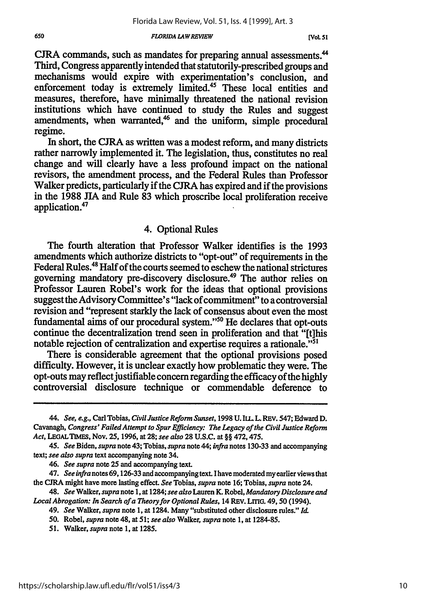#### *FLORIDA LAW REVIEW*

**CJRA** commands, such as mandates for preparing annual assessments." Third, Congress apparently intended that statutorily-prescribed groups and mechanisms would expire with experimentation's conclusion, and enforcement today is extremely limited.<sup>45</sup> These local entities and measures, therefore, have minimally threatened the national revision institutions which have continued to study the Rules and suggest amendments, when warranted,<sup>46</sup> and the uniform, simple procedural regime.

In short, the CJRA as written was a modest reform, and many districts rather narrowly implemented it. The legislation, thus, constitutes no real change and will clearly have a less profound impact on the national revisors, the amendment process, and the Federal Rules than Professor Walker predicts, particularly if the **CJRA** has expired and if the provisions in the 1988 JIA and Rule 83 which proscribe local proliferation receive application.47

### 4. Optional Rules

The fourth alteration that Professor Walker identifies is the 1993 amendments which authorize districts to "opt-out" of requirements in the Federal Rules.<sup>48</sup> Half of the courts seemed to eschew the national strictures governing mandatory pre-discovery disclosure.49 The author relies on Professor Lauren Robel's work for the ideas that optional provisions suggest the Advisory Committee's "lack of commitment" to a controversial revision and "represent starkly the lack of consensus about even the most fundamental aims of our procedural system."50 He declares that opt-outs continue the decentralization trend seen in proliferation and that "[t]his notable rejection of centralization and expertise requires a rationale."51

There is considerable agreement that the optional provisions posed difficulty. However, it is unclear exactly how problematic they were. The opt-outs may reflect justifiable concern regarding the efficacy of the highly controversial disclosure technique or commendable deference to

**51.** Walker, *supra* note 1, at **1285.**

*<sup>44.</sup> See, e.g.,* Carl Tobias, *Civil Justice Reform Sunset,* 1998 U. *IL. L.* REV. *547;* Edward D. Cavanagh, *Congress' Failed Attempt to Spur Efficiency: The Legacy of the Civil Justice Reform Act,* **LEGALTIMS,** Nov. **25,** 1996, at **28;** *see also* 28 U.S.C. at §§ 472,475.

<sup>45.</sup> *See* Biden, *supra* note 43; Tobias, *supra* note 44; *infra* notes 130-33 and accompanying text; *see also supra* text accompanying note 34.

*<sup>46.</sup> See supra* note **25** and accompanying text.

<sup>47.</sup> *See infra* notes 69,126-33 and accompanying text. I have moderated my earlier views that the **CJRA** might have more lasting effect *See* Tobias, *supra* note **16;** Tobias, *supra* note 24.

<sup>48.</sup> *See Walker, supra note* **1,** *at* 1284; *see also* Lauren *K.* Robel, *Mandatory Disclosure and Local Abrogation: In Search ofa Theory for Optional Rules,* 14 REV. LrITG. 49, 50 (1994).

*<sup>49.</sup> See* Walker, *supra* note 1, at 1284. Many "substituted other disclosure rules." *Id.*

**<sup>50.</sup>** Robel, *supra* note 48, at *51; see also* Walker, *supra* note 1, at 1284-85.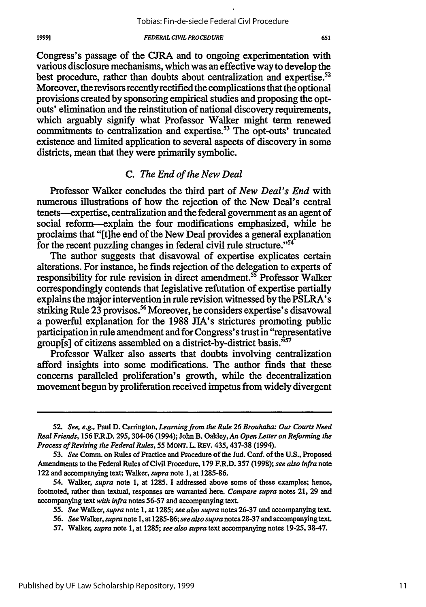Congress's passage of the **CJRA** and to ongoing experimentation with various disclosure mechanisms, which was an effective way to develop the best procedure, rather than doubts about centralization and expertise.<sup>52</sup> Moreover, the revisors recently rectified the complications that the optional provisions created **by** sponsoring empirical studies and proposing the optouts' elimination and the reinstitution of national discovery requirements, which arguably signify what Professor Walker might term renewed commitments to centralization and expertise.<sup>53</sup> The opt-outs' truncated existence and limited application to several aspects of discovery in some districts, mean that they were primarily symbolic.

### *C. The End of the New Deal*

Professor Walker concludes the third part of *New Deal's End* with numerous illustrations of how the rejection of the New Deal's central tenets--expertise, centralization and the federal government as an agent of social reform-explain the four modifications emphasized, while he proclaims that "[t]he end of the New Deal provides a general explanation for the recent puzzling changes in federal civil rule structure."<sup>54</sup>

The author suggests that disavowal of expertise explicates certain alterations. For instance, he finds rejection of the delegation to experts of responsibility for rule revision in direct amendment.<sup>55</sup> Professor Walker correspondingly contends that legislative refutation of expertise partially explains the major intervention in rule revision witnessed by the PSLRA's striking Rule 23 provisos.<sup>56</sup> Moreover, he considers expertise's disavowal a powerful explanation for the 1988 JIA's strictures promoting public participation in rule amendment and for Congress's trust in "representative group[s] of citizens assembled on a district-by-district basis."<sup>57</sup>

Professor Walker also asserts that doubts involving centralization afford insights into some modifications. The author finds that these concerns paralleled proliferation's growth, while the decentralization movement begun by proliferation received impetus from widely divergent

*<sup>52.</sup> See, e.g.,* Paul D. Carrington, *Learning from the Rule 26 Brouhaha: Our Courts Need Real Friends,* **156** F.R.D. 295, 304-06 (1994); John B. Oakley, *An Open Letter on Reforming the Process of Revising the Federal Rules,* 55 **MONT.** L. REV. 435, 437-38 (1994).

**<sup>53.</sup>** *See* Comm. on Rules of Practice and Procedure of the Jud. Conf. of the **U.S.,** Proposed Amendments to the Federal Rules of Civil Procedure, 179 F.R.D. 357 (1998); *see also infra* note 122 and accompanying text; Walker, *supra* note 1, at 1285-86.

<sup>54.</sup> Walker, *supra* note 1, at 1285. I addressed above some of these examples; hence, footnoted, rather than textual, responses are warranted here. *Compare supra* notes 21, 29 and accompanying text *with infra* notes **56-57** and accompanying text.

<sup>55.</sup> *See* Walker, *supra* note 1, at **1285;** *see also supra* notes 26-37 and accompanying text.

<sup>56.</sup> *See Walker, supra* note **1,** at 1285-86; *see also supra* notes 28-37 and accompanying text.

<sup>57.</sup> Walker, *supra* note 1, at **1285;** *see also supra* text accompanying notes 19-25,38-47.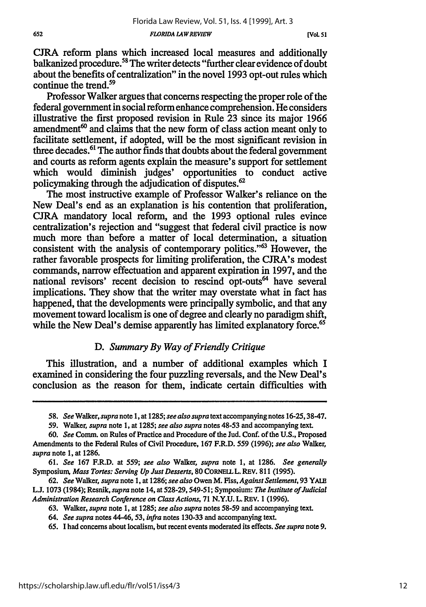*FLORIDA LAW REVIEW*

**CJRA** reform plans which increased local measures and additionally balkanized procedure.<sup>58</sup> The writer detects "further clear evidence of doubt about the benefits of centralization" in the novel **1993** opt-out rules which continue the trend.59

Professor Walker argues that concerns respecting the proper role of the federal government in social reform enhance comprehension. He considers illustrative the first proposed revision in Rule **23** since its major **1966** amendment $60$  and claims that the new form of class action meant only to facilitate settlement, if adopted, will be the most significant revision in three decades.<sup>61</sup> The author finds that doubts about the federal government and courts as reform agents explain the measure's support for settlement which would diminish judges' opportunities to conduct active policymaking through the adjudication of disputes.<sup>62</sup>

The most instructive example of Professor Walker's reliance on the New Deal's end as an explanation is his contention that proliferation, **CJRA** mandatory local reform, and the **1993** optional rules evince centralization's rejection and "suggest that federal civil practice is now much more than before a matter of local determination, a situation consistent with the analysis of contemporary politics."<sup>63</sup> However, the rather favorable prospects for limiting proliferation, the CJRA's modest commands, narrow effectuation and apparent expiration in **1997,** and the national revisors' recent decision to rescind opt-outs<sup>64</sup> have several implications. They show that the writer may overstate what in fact has happened, that the developments were principally symbolic, and that any movement toward localism is one of degree and clearly no paradigm shift, while the New Deal's demise apparently has limited explanatory force.<sup>65</sup>

### *D. Summary By Way of Friendly Critique*

This illustration, and a number of additional examples which I examined in considering the four puzzling reversals, and the New Deal's conclusion as the reason for them, indicate certain difficulties with

*<sup>58.</sup> See Walker, supra note* **1,** at **1285;** *see also supra* text accompanying notes **16-25, 38-47.**

**<sup>59.</sup>** Walker, *supra* note **1,** at **1285;** *see also supra* notes **48-53** and accompanying text.

**<sup>60.</sup>** *See* Comm. on Rules of Practice and Procedure of the Jud. Conf. of the **U.S.,** Proposed Amendments to the Federal Rules of Civil Procedure, **167** F.R.D. **559 (1996);** *see also* Walker, *supra* note **1,** at **1286.**

**<sup>61.</sup>** *See* **167** F.R.D. at *559; see also* Walker, *supra* note **1,** at **1286.** *See generally* Symposium, *Mass Tortes: Serving Up Just Desserts,* **80 CORNELLL.** REV. **811 (1995).**

**<sup>62.</sup>** *See* Walker, *supra* note **1,** at **1286;** *see also* Owen M. Fiss, *Against Settlement,* **93** YALE **L.J. 1073** (1984); Resnik, *supra* note 14, at **528-29,549-51;** Symposium: *The Institute of Judicial Administration Research Conference on Class Actions,* **71 N.Y.U.** L. REV. **1 (1996).**

**<sup>63.</sup>** Walker, *supra* note **1,** at **1285;** *see also supra* notes **58-59** and accompanying text.

*<sup>64.</sup> See supra* notes *44-46, 53, infra* notes **130-33** and accompanying text.

**<sup>65.</sup> I** had concerns about localism, but recent events moderated its effects. *See supra* note **9.**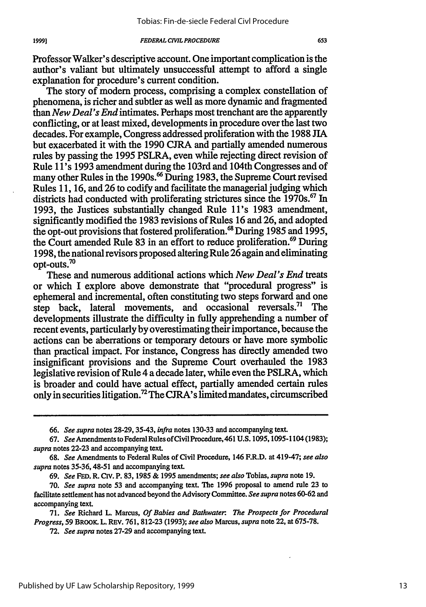Professor Walker's descriptive account. One important complication is the author's valiant but ultimately unsuccessful attempt to afford a single explanation for procedure's current condition.

The story of modem process, comprising a complex constellation of phenomena, is richer and subtler as well as more dynamic and fragmented than *New Deal's End* intimates. Perhaps most trenchant are the apparently conflicting, or at least mixed, developments in procedure over the last two decades. For example, Congress addressed proliferation with the 1988 **JIA** but exacerbated it with the 1990 **CJRA** and partially amended numerous rules by passing the 1995 PSLRA, even while rejecting direct revision of Rule lI's 1993 amendment during the 103rd and 104th Congresses and of many other Rules in the 1990s.<sup>66</sup> During 1983, the Supreme Court revised Rules 11, 16, and 26 to codify and facilitate the managerial judging which districts had conducted with proliferating strictures since the 1970s.<sup>67</sup> In 1993, the Justices substantially changed Rule 1I's 1983 amendment, significantly modified the 1983 revisions of Rules 16 and 26, and adopted the opt-out provisions that fostered proliferation.<sup>68</sup> During 1985 and 1995, the Court amended Rule **83** in an effort to reduce proliferation.69 During 1998, the national revisors proposed altering Rule  $2\bar{6}$  again and eliminating  $_{\rm opt\text{-}outs.}$ <sup>70</sup>

These and numerous additional actions which *New Deal's End* treats or which I explore above demonstrate that "procedural progress" is ephemeral and incremental, often constituting two steps forward and one step back, lateral movements, and occasional reversals.<sup>71</sup> The developments illustrate the difficulty in fully apprehending a number of recent events, particularly by overestimating their importance, because the actions can be aberrations or temporary detours or have more symbolic than practical impact. For instance, Congress has directly amended two insignificant provisions and the Supreme Court overhauled the 1983 legislative revision of Rule 4 a decade later, while even the PSLRA, which is broader and could have actual effect, partially amended certain rules only in securities litigation.72 The CJRA's limited mandates, circumscribed

*69. See* **FED.** R. Civ. P. **83, 1985 & 1995** amendments; *see also* Tobias, *supra* note **19.**

*<sup>66.</sup> See supra* notes **28-29,** 35-43, *infra* notes **130-33** and accompanying text.

*<sup>67.</sup> See* Amendments to Federal Rules ofCivil Procedure, 461 **U.S. 1095,1095-1104 (1983);** *supra* notes **22-23** and accompanying text.

**<sup>68.</sup>** *See* Amendments to Federal Rules of Civil Procedure, 146 F.R.D. at 419-47; *see also supra* notes **35-36,** 48-51 and accompanying text.

**<sup>70.</sup>** *See supra* note **53** and accompanying text. The **1996** proposal to amend rule **23** to facilitate settlement has not advanced beyond the Advisory Comnittee. *See supra* notes **60-62** and accompanying text.

**<sup>71.</sup>** *See* Richard L. Marcus, *Of Babies and Bathwater. The Prospects for Procedural Progress,* **59** BROOK. L. REV. **761, 812-23 (1993);** *see also* Marcus, *supra* note 22, at **675-78.**

**<sup>72.</sup>** *See supra* notes **27-29** and accompanying text.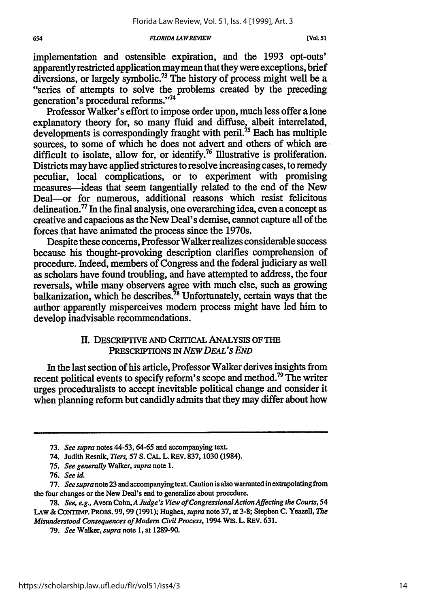#### *FLORIDA LAWREVIEW*

implementation and ostensible expiration, and the **1993** opt-outs' apparently restricted application may mean that they were exceptions, brief diversions, or largely symbolic.73 The history of process might well be a "series of attempts to solve the problems created by the preceding generation's procedural reforms."74

Professor Walker's effort to impose order upon, much less offer a lone explanatory theory for, so many fluid and diffuse, albeit interrelated, developments is correspondingly fraught with peril.<sup>75</sup> Each has multiple sources, to some of which he does not advert and others of which are difficult to isolate, allow for, or identify.<sup>76</sup> Illustrative is proliferation. Districts may have applied strictures to resolve increasing cases, to remedy peculiar, local complications, or to experiment with promising measures-ideas that seem tangentially related to the end of the New Deal-or for numerous, additional reasons which resist felicitous delineation. $\frac{7}{7}$  In the final analysis, one overarching idea, even a concept as creative and capacious as the New Deal's demise, cannot capture all of the forces that have animated the process since the 1970s.

Despite these concerns, Professor Walker realizes considerable success because his thought-provoking description clarifies comprehension of procedure. Indeed, members of Congress and the federal judiciary as well as scholars have found troubling, and have attempted to address, the four reversals, while many observers agree with much else, such as growing balkanization, which he describes.<sup>78</sup> Unfortunately, certain ways that the author apparently misperceives modem process might have led him to develop inadvisable recommendations.

### **II. DESCRIPTIVE AND CRITICAL ANALYSIS OF THE PRESCRIPTIONS IN** *NEW DEAL'S END*

In the last section of his article, Professor Walker derives insights from recent political events to specify reform's scope and method.<sup>79</sup> The writer urges proceduralists to accept inevitable political change and consider it when planning reform but candidly admits that they may differ about how

**<sup>73.</sup>** *See supra* notes **44-53, 64-65** and accompanying text.

**<sup>74.</sup>** Judith Resnik, *Tiers,* **57 S. CAL** L. REV. **837, 1030** (1984).

**<sup>75.</sup>** *See generally* Walker, *supra* note **1.**

**<sup>76.</sup>** *See id.*

<sup>77.</sup> See supra note 23 and accompanying text. Caution is also warranted in extrapolating from the four changes or the New Deal's end to generalize about procedure.

<sup>78.</sup> *See, e.g.,* Avern Cohn,A *Judge's View of CongressionalAction Affecting the Courts, 54* LAw&CoNTEMP. PROBS. **99,99 (1991);** Hughes, *supra* note 37, at 3-8; Stephen **C.** Yeazell, *The Misunderstood Consequences of Modern Civil Process,* 1994 WIS. L. **REV. 631.**

**<sup>79.</sup>** *See* Walker, *supra* note 1, at 1289-90.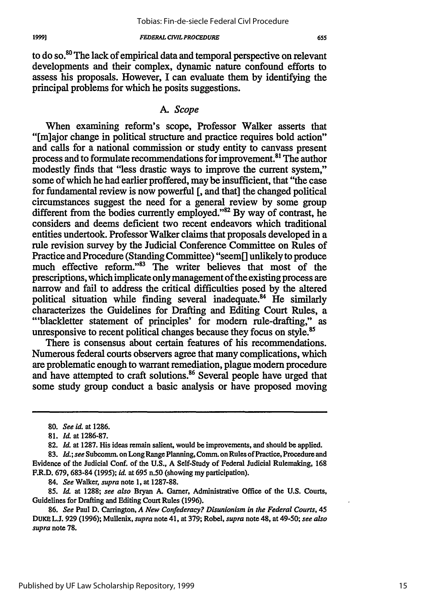to do so.<sup>80</sup> The lack of empirical data and temporal perspective on relevant developments and their complex, dynamic nature confound efforts to assess his proposals. However, I can evaluate them by identifying the principal problems for which he posits suggestions.

### *A. Scope*

When examining reform's scope, Professor Walker asserts that "[m]ajor change in political structure and practice requires bold action" and calls for a national commission or study entity to canvass present process and to formulate recommendations for improvement."' The author modestly finds that "less drastic ways to improve the current system," some of which he had earlier proffered, may be insufficient, that "the case for fundamental review is now powerful **[,** and that] the changed political circumstances suggest the need for a general review by some group different from the bodies currently employed."<sup>82</sup> By way of contrast, he considers and deems deficient two recent endeavors which traditional entities undertook. Professor Walker claims that proposals developed in a rule revision survey by the Judicial Conference Committee on Rules of Practice and Procedure (Standing Committee) "seem[] unlikely to produce much effective reform."<sup>83</sup> The writer believes that most of the prescriptions, which implicate only management of the existing process are narrow and fail to address the critical difficulties posed by the altered political situation while finding several inadequate.<sup>84</sup> He similarly characterizes the Guidelines for Drafting and Editing Court Rules, a "'blackletter statement of principles' for modem rule-drafting," as unresponsive to recent political changes because they focus on style.<sup>85</sup>

There is consensus about certain features of his recommendations. Numerous federal courts observers agree that many complications, which are problematic enough to warrant remediation, plague modem procedure and have attempted to craft solutions.<sup>86</sup> Several people have urged that some study group conduct a basic analysis or have proposed moving

*84. See Walker, supra* note 1, at 1287-88.

**<sup>80.</sup>** *See id.* at 1286.

<sup>81.</sup> *Id.* at 1286-87.

**<sup>82.</sup>** *Id.* at 1287. His ideas remain salient, would be improvements, and should be applied.

**<sup>83.</sup>** *Id.; see* Subcomm. on Long Range Planning, Comm. on Rules of Practice, Procedure and Evidence of the Judicial Conf. of the **U.S., A** Self-Study of Federal Judicial Rulemaking, 168 F.R.D. 679, 683-84 **(1995);** *id.* at 695 n.50 (showing my participation).

**<sup>85.</sup>** *Id.* at **1288;** *see also* Bryan **A.** Garner, Administrative Office of the **U.S.** Courts, Guidelines for Drafting and Editing Court Rules (1996).

**<sup>86.</sup>** *See* Paul D. Carrington, *A New Confederacy? Disunionism in the Federal Courts, 45* DUKE **L.J. 929** (1996); Mullenix, *supra* note 41, at 379; Robel, *supra* note 48, at 49-50; *see also supra* note 78.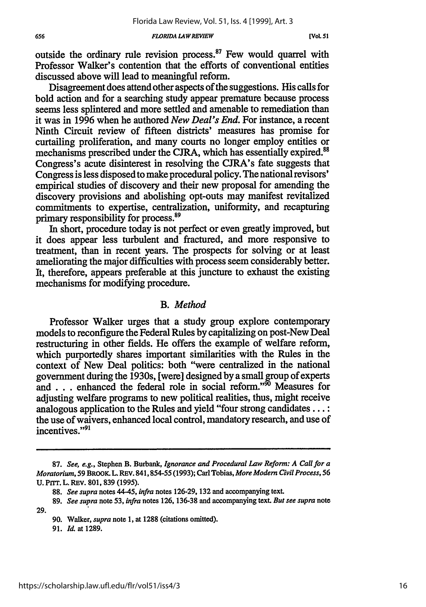#### *FLORIDA LAW REVIEW*

outside the ordinary rule revision process. $87$  Few would quarrel with Professor Walker's contention that the efforts of conventional entities discussed above will lead to meaningful reform.

Disagreement does attend other aspects of the suggestions. His calls for bold action and for a searching study appear premature because process seems less splintered and more settled and amenable to remediation than it was in 1996 when he authored *New Deal's End.* For instance, a recent Ninth Circuit review of fifteen districts' measures has promise for curtailing proliferation, and many courts no longer employ entities or mechanisms prescribed under the CJRA, which has essentially expired.<sup>88</sup> Congress's acute disinterest in resolving the CJRA's fate suggests that Congress is less disposed to make procedural policy. The national revisors' empirical studies of discovery and their new proposal for amending the discovery provisions and abolishing opt-outs may manifest revitalized commitments to expertise, centralization, uniformity, and recapturing primary responsibility for process.<sup>89</sup>

In short, procedure today is not perfect or even greatly improved, but it does appear less turbulent and fractured, and more responsive to treatment, than in recent years. The prospects for solving or at least ameliorating the major difficulties with process seem considerably better. It, therefore, appears preferable at this juncture to exhaust the existing mechanisms for modifying procedure.

### *B. Method*

Professor Walker urges that a study group explore contemporary models to reconfigure the Federal Rules by capitalizing on post-New Deal restructuring in other fields. He offers the example of welfare reform, which purportedly shares important similarities with the Rules in the context of New Deal politics: both "were centralized in the national government during the 1930s, [were] designed by a small group of experts and . . . enhanced the federal role in social reform."<sup>50</sup> Measures for adjusting welfare programs to new political realities, thus, might receive analogous application to the Rules and yield "four strong candidates... **:** the use of waivers, enhanced local control, mandatory research, and use of incentives."<sup>91</sup>

29.

**91.** *Id.* at 1289.

**<sup>87.</sup>** *See, e.g.,* Stephen B. Burbank, *Ignorance and Procedural Law Reform: A Call for a Moratorium,* **59** BROOK. **L.** REV. 841,854-55 **(1993);** Carl **Tobias,** *More Modem Civil Process,* **56 U. Prrr.** L. **REV. 801, 839 (1995).**

**<sup>88.</sup>** *See supra* notes 44-45, *infra* notes 126-29, **132** and accompanying text.

**<sup>89.</sup>** *See supra* note **53,** *infra* notes 126, 136-38 and accompanying text. *But see supra* note

<sup>90.</sup> Walker, *supra* note 1, at **1288** (citations omitted).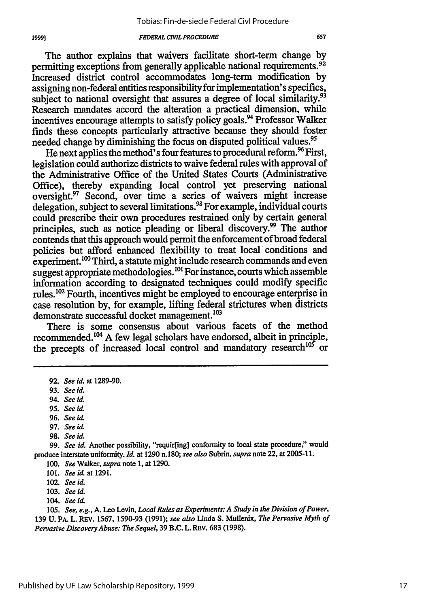The author explains that waivers facilitate short-term change **by** permitting exceptions from generally applicable national requirements.<sup>92</sup> Increased district control accommodates long-term modification **by** assigning non-federal entities responsibility for implementation's specifics, subject to national oversight that assures a degree of local similarity.<sup>93</sup> Research mandates accord the alteration a practical dimension, while incentives encourage attempts to satisfy policy goals.<sup>94</sup> Professor Walker finds these concepts particularly attractive because they should foster needed change by diminishing the focus on disputed political values.<sup>95</sup>

He next applies the method's four features to procedural reform.<sup>96</sup> First, legislation could authorize districts to waive federal rules with approval of the Administrative Office of the United States Courts (Administrative Office), thereby expanding local control yet preserving national oversight.<sup>97</sup> Second, over time a series of waivers might increase delegation, subject to several limitations." **For** example, individual courts could prescribe their own procedures restrained only **by** certain general principles, such as notice pleading or liberal discovery.<sup>99</sup> The author contends that this approach would permit the enforcement of broad federal policies but afford enhanced flexibility to treat local conditions and experiment.<sup>100</sup> Third, a statute might include research commands and even suggest appropriate methodologies.<sup>101</sup> For instance, courts which assemble information according to designated techniques could modify specific rules." Fourth, incentives might be employed to encourage enterprise in case resolution **by,** for example, lifting federal strictures when districts demonstrate successful docket management.<sup>103</sup>

There is some consensus about various facets of the method recommended.<sup>104</sup> A few legal scholars have endorsed, albeit in principle, the precepts of increased local control and mandatory research<sup>105</sup> or

19991

- **95.** *See id.*
- **96.** *See hi.*
- **97.** *See id.*
- **98.** *See id.*

**99.** *See id.* Another possibility, "requir[ing] conformity to local state procedure," would produce interstate uniformity. *Id.* at **1290** n.180; *see also* Subrin, *supra* note 22, at **2005-11. 100.** *See* Walker, *supra* note **1,** at **1290.**

102. *See id.*

**103.** *See id.*

104. *See id.*

**105.** *See, e.g.,* **A.** Leo Levin, *Local Rules as Experiments: A Study in the Division of Power,* **139 U.** PA. L. REV. **1567, 1590-93 (1991);** *see also* Linda **S.** Mullenix, *The Pervasive Myth of Pervasive Discovery Abuse: The Sequel,* **39** B.C. L. REV. **683 (1998).**

**<sup>92.</sup>** *See id.* at **1289-90.**

**<sup>93.</sup>** *See id.*

**<sup>94.</sup>** *See id.*

**<sup>101.</sup>** *See id.* **at 1291.**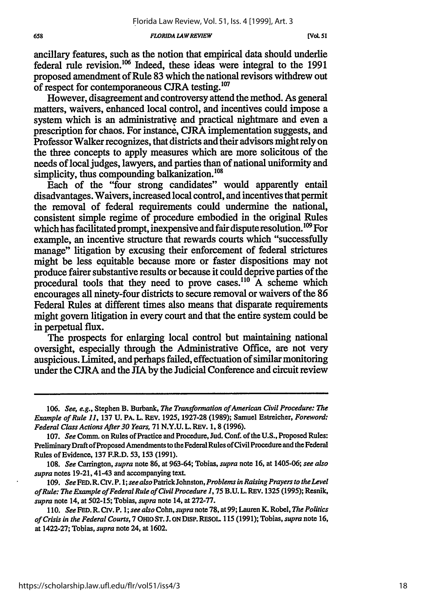#### *FLORIDA LAW REVIEW*

ancillary features, such as the notion that empirical data should underlie federal rule revision.<sup>106</sup> Indeed, these ideas were integral to the 1991 proposed amendment of Rule 83 which the national revisors withdrew out of respect for contemporaneous CJRA testing.<sup>107</sup>

However, disagreement and controversy attend the method. As general matters, waivers, enhanced local control, and incentives could impose a system which is an administrative and practical nightmare and even a prescription for chaos. For instance, CJRA implementation suggests, and Professor Walker recognizes, that districts and their advisors might rely on the three concepts to apply measures which are more solicitous of the needs of local judges, lawyers, and parties than of national uniformity and simplicity, thus compounding balkanization.<sup>108</sup>

Each of the "four strong candidates" would apparently entail disadvantages. Waivers, increased local control, and incentives that permit the removal of federal requirements could undermine the national, consistent simple regime of procedure embodied in the original Rules which has facilitated prompt, inexpensive and fair dispute resolution.<sup>109</sup> For example, an incentive structure that rewards courts which "successfully manage" litigation by excusing their enforcement of federal strictures might be less equitable because more or faster dispositions may not produce fairer substantive results or because it could deprive parties of the procedural tools that they need to prove cases.<sup>110</sup> A scheme which encourages all ninety-four districts to secure removal or waivers of the 86 Federal Rules at different times also means that disparate requirements might govern litigation in every court and that the entire system could be in perpetual flux.

The prospects for enlarging local control but maintaining national oversight, especially through the Administrative Office, are not very auspicious. Limited, and perhaps failed, effectuation of similar monitoring under the CJRA and the JIA by the Judicial Conference and circuit review

108. *See* Carrington, *supra* note 86, at 963-64; Tobias, *supra* note 16, at 1405-06; *see also supra* notes 19-21, 41-43 and accompanying text.

*109. See* **FED.** R. *CIv.* P. *1; see also* Patrick Johnston, *Problems in Raising Prayers to the Level of Rule: The Example of Federal Rule of Civil Procedure 1,* 75 B.U.L. REV. 1325 (1995); Resnik, *supra* note 14, at 502-15; Tobias, *supra* note 14, at 272-77.

110. *See* **FED.** R. **Civ.** P. 1; *see also* Cohn, *supra* note **78,** at **99;** Lauren K. Robel, *The Politics of Crisis in the Federal Courts,* 7 OHIO **ST. J.** ONDISP. **RESOL** 115 (1991); Tobias, *supra* note 16, at 1422-27; Tobias, *supra* note 24, at 1602.

*<sup>106.</sup> See, e.g.,* Stephen B. Burbank, *The Transformation of American Civil Procedure: The Example of Rule 11,* 137 U. PA. L. REV. 1925, 1927-28 (1989); Samuel Estreicher, *Foreword: Federal Class Actions After 30 Years,* 71 N.Y.U. L. REV. 1, **8** (1996).

<sup>107.</sup> *See* Comm. on Rules of Practice and Procedure, Jud. Conf. of the U.S., Proposed Rules: Preliminary Draft of Proposed Amendments to the Federal Rules of Civil Procedure and the Federal Rules of Evidence, 137 F.R.D. 53, 153 (1991).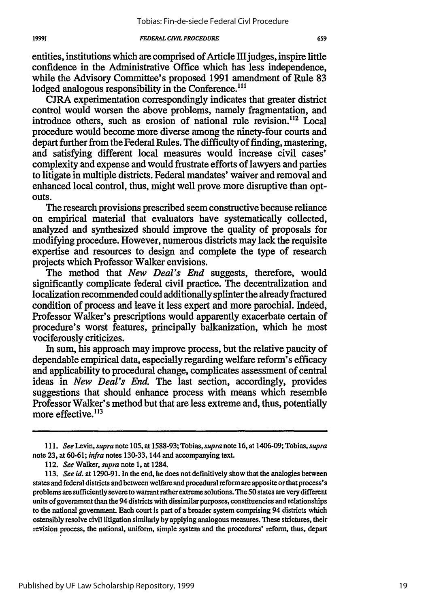entities, institutions which are comprised of Article **IL** judges, inspire little confidence in the Administrative Office which has less independence, while the Advisory Committee's proposed 1991 amendment of Rule 83 lodged analogous responsibility in the Conference.<sup>111</sup>

CJRA experimentation correspondingly indicates that greater district control would worsen the above problems, namely fragmentation, and introduce others, such as erosion of national rule revision.<sup>112</sup> Local procedure would become more diverse among the ninety-four courts and depart further from the Federal Rules. The difficulty of finding, mastering, and satisfying different local measures would increase civil cases' complexity and expense and would frustrate efforts of lawyers and parties to litigate in multiple districts. Federal mandates' waiver and removal and enhanced local control, thus, might well prove more disruptive than optouts.

The research provisions prescribed seem constructive because reliance on empirical material that evaluators have systematically collected, analyzed and synthesized should improve the quality of proposals for modifying procedure. However, numerous districts may lack the requisite expertise and resources to design and complete the type of research projects which Professor Walker envisions.

The method that *New Deal's End* suggests, therefore, would significantly complicate federal civil practice. The decentralization and localization recommended could additionally splinter the already fractured condition of process and leave it less expert and more parochial. Indeed, Professor Walker's prescriptions would apparently exacerbate certain of procedure's worst features, principally balkanization, which he most vociferously criticizes.

In sum, his approach may improve process, but the relative paucity of dependable empirical data, especially regarding welfare reform's efficacy and applicability to procedural change, complicates assessment of central ideas in *New Deal's End.* The last section, accordingly, provides suggestions that should enhance process with means which resemble Professor Walker's method but that are less extreme and, thus, potentially more effective.<sup>113</sup>

*<sup>111.</sup> See Levin, supra* note 105, at 1588-93; Tobias, *supra* note 16, at 1406-09; Tobias, *supra* note 23, at 60-61; *infra* notes 130-33, 144 and accompanying text.

<sup>112.</sup> *See Walker, supra* note 1, at 1284.

<sup>113.</sup> *See id.* at 1290-91. In the end, he does not definitively show that the analogies between states and federal districts and between welfare and procedural reform are apposite or that process's problems are sufficiently severe to warrant rather extreme solutions. The 50 states are very different units of government than the 94 districts with dissimilar purposes, constituencies and relationships to the national government. Each court is part of a broader system comprising 94 districts which ostensibly resolve civil litigation similarly by applying analogous measures. These strictures, their revision process, the national, uniform, simple system and the procedures' reform, thus, depart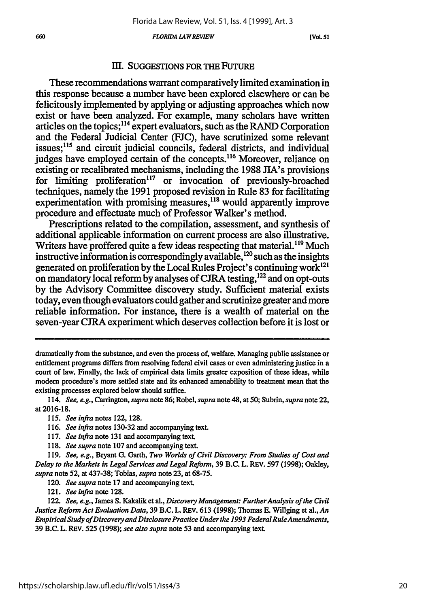*FLORIDA LAWREVIEW*

**[VOL. 51**

### **III. SUGGESTIONS** FOR THE **FUTURE**

These recommendations warrant comparatively limited examination in this response because a number have been explored elsewhere or can be felicitously implemented **by** applying or adjusting approaches which now exist or have been analyzed. For example, many scholars have written articles on the topics;114 expert evaluators, such as the RAND Corporation and the Federal Judicial Center **(FJC),** have scrutinized some relevant issues;<sup>115</sup> and circuit judicial councils, federal districts, and individual judges have employed certain of the concepts.<sup>116</sup> Moreover, reliance on existing or recalibrated mechanisms, including the **1988** JIA's provisions for limiting proliferation<sup>117</sup> or invocation of previously-broached techniques, namely the **1991** proposed revision in Rule **83** for facilitating experimentation with promising measures,<sup>118</sup> would apparently improve procedure and effectuate much of Professor Walker's method.

Prescriptions related to the compilation, assessment, and synthesis of additional applicable information on current process are also illustrative. Writers have proffered quite a few ideas respecting that material.<sup>119</sup> Much instructive information is correspondingly available,  $^{120}$  such as the insights generated on proliferation **by** the Local Rules Project's continuing work121 on mandatory local reform **by** analyses of **CJRA** testing,'22 and on opt-outs **by** the Advisory Committee discovery study. Sufficient material exists today, even though evaluators could gather and scrutinize greater and more reliable information. For instance, there is a wealth of material on the seven-year **CJRA** experiment which deserves collection before it is lost or

dramatically from the substance, and even the process of, welfare. Managing public assistance or entitlement programs differs from resolving federal civil cases or even administering justice in a court of law. Finally, the lack of empirical data limits greater exposition of these ideas, while modem procedure's more settled state and its enhanced amenability to treatment mean that the existing processes explored below should suffice.

114. *See, e.g.,* Carrington, *supra* note **86;** Robel, *supra* note 48, at **50;** Subrin, *supra* note 22, at **2016-18.**

- *115. See infra* notes **122,128.**
- **116.** *See infra* notes **130-32** and accompanying text.
- **117.** *See infra* note **131** and accompanying text.
- **118.** *See supra* note **107** and accompanying text.

**119.** *See, e.g.,* Bryant **G.** Garth, *Two Worlds of Civil Discovery: From Studies of Cost and Delay to the Markets in Legal Services and Legal Reform,* **39** B.C. L. REV. **597 (1998);** Oakley, *supra* note **52,** at **437-38;** Tobias, *supra* note **23,** at **68-75.**

120. *See supra* note **17** and accompanying text.

121. *See infra* note **128.**

122. *See, e.g.,* James **S.** Kakalik et al., *Discovery Management: Further Analysis of the Civil Justice Reform Act Evaluation Data,* **39** B.C. L. REV. **613 (1998);** Thomas **E.** Willging et al., *An Empirical Study ofDiscovery and Disclosure Practice Under the 1993 Federal RuleAmendments,* **39** B.C. L. REV. **525 (1998);** *see also supra* note **53** and accompanying text.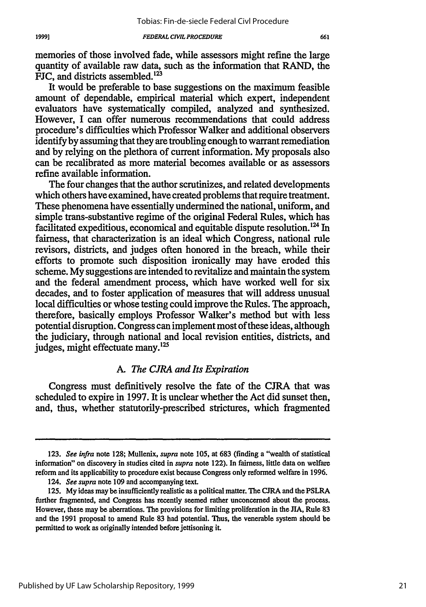memories of those involved fade, while assessors might refine the large quantity of available raw data, such as the information that RAND, the FJC, and districts assembled.<sup>12</sup>

It would be preferable to base suggestions on the maximum feasible amount of dependable, empirical material which expert, independent evaluators have systematically compiled, analyzed and synthesized. However, I can offer numerous recommendations that could address procedure's difficulties which Professor Walker and additional observers identify by assuming that they are troubling enough to warrant remediation and by relying on the plethora of current information. My proposals also can be recalibrated as more material becomes available or as assessors refine available information.

The four changes that the author scrutinizes, and related developments which others have examined, have created problems that require treatment. These phenomena have essentially undermined the national, uniform, and simple trans-substantive regime of the original Federal Rules, which has facilitated expeditious, economical and equitable dispute resolution.<sup>124</sup> In fairness, that characterization is an ideal which Congress, national rule revisors, districts, and judges often honored in the breach, while their efforts to promote such disposition ironically may have eroded this scheme. My suggestions are intended to revitalize and maintain the system and the federal amendment process, which have worked well for six decades, and to foster application of measures that will address unusual local difficulties or whose testing could improve the Rules. The approach, therefore, basically employs Professor Walker's method but with less potential disruption. Congress can implement most of these ideas, although the judiciary, through national and local revision entities, districts, and judges, might effectuate many.<sup>125</sup>

### *A. The CJRA and Its Expiration*

Congress must definitively resolve the fate of the CJRA that was scheduled to expire in 1997. It is unclear whether the Act did sunset then, and, thus, whether statutorily-prescribed strictures, which fragmented

<sup>123.</sup> *See infra* note 128; Mullenix, *supra* note 105, at 683 (finding a "wealth of statistical information" on discovery in studies cited in *supra* note 122). In fairness, little data on welfare reform and its applicability to procedure exist because Congress only reformed welfare in 1996.

<sup>124.</sup> *See supra* note 109 and accompanying text.

**<sup>125.</sup> My** ideas may be insufficiently realistic as a political matter. The **CJRA** and the PSLRA further fragmented, and Congress has recently seemed rather unconcerned about the process. However, these may be aberrations. The provisions for limiting proliferation in the JIA, Rule **83** and the 1991 proposal to amend Rule 83 had potential. Thus, the venerable system should be permitted to work as originally intended before jettisoning it.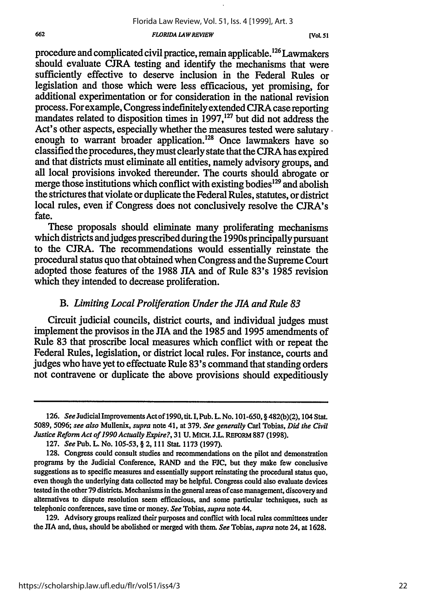#### *FLORIDA L4WREVIEW*

**[Vol. 51**

procedure and complicated civil practice, remain applicable.126 Lawmakers should evaluate CJRA testing and identify the mechanisms that were sufficiently effective to deserve inclusion in the Federal Rules or legislation and those which were less efficacious, yet promising, for additional experimentation or for consideration in the national revision process. For example, Congress indefinitely extended CJRA case reporting mandates related to disposition times in 1997,<sup>127</sup> but did not address the Act's other aspects, especially whether the measures tested were salutary enough to warrant broader application.<sup>128</sup> Once lawmakers have so classified the procedures, they must clearly state that the CJRA has expired and that districts must eliminate all entities, namely advisory groups, and all local provisions invoked thereunder. The courts should abrogate or merge those institutions which conflict with existing bodies  $129$  and abolish the strictures that violate or duplicate the Federal Rules, statutes, or district local rules, even if Congress does not conclusively resolve the CJRA's fate.

These proposals should eliminate many proliferating mechanisms which districts and judges prescribed during the 1990s principally pursuant to the CJRA. The recommendations would essentially reinstate the procedural status quo that obtained when Congress and the Supreme Court adopted those features of the 1988 JIA and of Rule 83's 1985 revision which they intended to decrease proliferation.

### *B. Limiting Local Proliferation Under the JIA and Rule 83*

Circuit judicial councils, district courts, and individual judges must implement the provisos in the JIA and the 1985 and 1995 amendments of Rule 83 that proscribe local measures which conflict with or repeat the Federal Rules, legislation, or district local rules. For instance, courts and judges who have yet to effectuate Rule 83's command that standing orders not contravene or duplicate the above provisions should expeditiously

129. Advisory groups realized their purposes and conflict with local rules committees under the **JIA** and, thus, should be abolished or merged with them. *See* Tobias, *supra* note 24, at 1628.

<sup>126.</sup> *See* Judicial Improvements Act of 1990, tit. I, Pub. L. No. 101-650, **§** 482(b)(2), 104 Stat. 5089, **5096;** see also Mullenix, *supra* note 41, at 379. *See generally* Carl Tobias, *Did the Civil Justice Reform Act of 1990 Actually Expire?,* 31 **U. MICH.** J.L. **REFoRM 887 (1998).**

**<sup>127.</sup>** *See* Pub. L. **No. 105-53,** § 2, **111** Stat. **1173 (1997).**

<sup>128.</sup> Congress could consult studies and recommendations on the pilot and demonstration programs **by** the Judicial Conference, RAND and the **FJC,** but they make few conclusive suggestions as to specific measures and essentially support reinstating the procedural status quo, even though the underlying data collected may be helpful. Congress could also evaluate devices tested in the other 79 districts. Mechanisms in the general areas of case management, discovery and alternatives to dispute resolution seem efficacious, and some particular techniques, such as telephonic conferences, save time or money. *See* Tobias, *supra* note 44.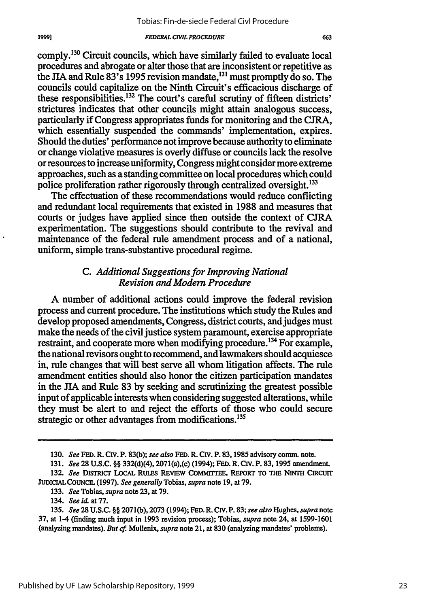663

comply.<sup>130</sup> Circuit councils, which have similarly failed to evaluate local procedures and abrogate or alter those that are inconsistent or repetitive as the JIA and Rule 83's 1995 revision mandate,<sup>131</sup> must promptly do so. The councils could capitalize on the Ninth Circuit's efficacious discharge of these responsibilities.<sup>132</sup> The court's careful scrutiny of fifteen districts' strictures indicates that other councils might attain analogous success, particularly if Congress appropriates funds for monitoring and the **CJRA,** which essentially suspended the commands' implementation, expires. Should the duties' performance not improve because authority to eliminate or change violative measures is overly diffuse or councils lack the resolve or resources to increase uniformity, Congress might consider more extreme approaches, such as a standing committee on local procedures which could police proliferation rather rigorously through centralized oversight.<sup>133</sup>

The effectuation of these recommendations would reduce conflicting and redundant local requirements that existed in 1988 and measures that courts or judges have applied since then outside the context of CJRA experimentation. The suggestions should contribute to the revival and maintenance of the federal rule amendment process and of a national, uniform, simple trans-substantive procedural regime.

### *C. Additional Suggestions for Improving National Revision and Modem Procedure*

A number of additional actions could improve the federal revision process and current procedure. The institutions which study the Rules and develop proposed amendments, Congress, district courts, and judges must make the needs of the civil justice system paramount, exercise appropriate restraint, and cooperate more when modifying procedure.<sup>134</sup> For example, the national revisors ought to recommend, and lawmakers should acquiesce in, rule changes that will best serve all whom litigation affects. The rule amendment entities should also honor the citizen participation mandates in the JIA and Rule 83 by seeking and scrutinizing the greatest possible input of applicable interests when considering suggested alterations, while they must be alert to and reject the efforts of those who could secure strategic or other advantages from modifications.<sup>135</sup>

<sup>130.</sup> *See* **FED.** R. Civ. P. 83(b); *see also* **FED.** R. **Civ.** P. 83,1985 advisory comm. note.

<sup>131.</sup> *See* 28 U.S.C. §§ 332(d)(4), 2071(a),(c) (1994); **FED.** R. **Civ.** P. **83, 1995** amendment.

**<sup>132.</sup>** *See* **DISTRICt LocAL RULES REVIEW COMMrrrEE, REPORT TO THE NINTH CICUrT JUDICIALCOUNCIL (1997).** *See generally* Tobias, *supra* note **19,** at **79.**

**<sup>133.</sup>** *See* Tobias, *supra* note **23,** at **79.**

<sup>134.</sup> *See id.* at **77.**

**<sup>135.</sup>** *See* **28 U.S.C. §§ 2071(b), 2073** (1994); **FED.** R. **CIV. P. 83;** *see also* Hughes, *supra* note **37,** at 1-4 (finding much input in **1993** revision process); Tobias, *supra* note 24, at **1599-1601** (analyzing mandates). *But cf* Mullenix, *supra* note 21, at **830** (analyzing mandates' problems).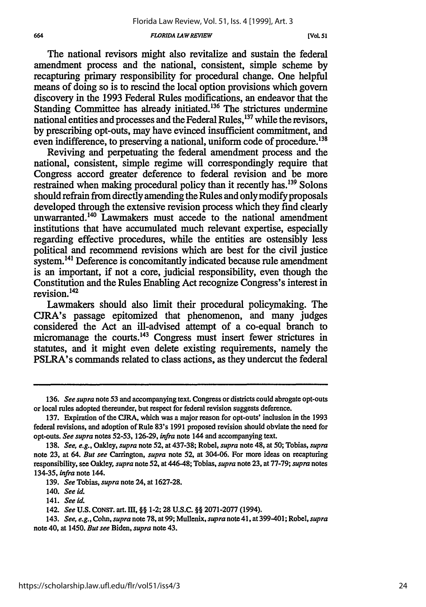#### *FLORIDA LAW REVIEW*

**[VoL 51**

The national revisors might also revitalize and sustain the federal amendment process and the national, consistent, simple scheme by recapturing primary responsibility for procedural change. One helpful means of doing so is to rescind the local option provisions which govern discovery in the 1993 Federal Rules modifications, an endeavor that the Standing Committee has already initiated.<sup>136</sup> The strictures undermine national entities and processes and the Federal Rules,<sup>137</sup> while the revisors, by prescribing opt-outs, may have evinced insufficient commitment, and even indifference, to preserving a national, uniform code of procedure.<sup>138</sup>

Reviving and perpetuating the federal amendment process and the national, consistent, simple regime will correspondingly require that Congress accord greater deference to federal revision and be more restrained when making procedural policy than it recently has. 139 Solons should refrain from directly amending the Rules and only modify proposals developed through the extensive revision process which they find clearly unwarranted.<sup>140</sup> Lawmakers must accede to the national amendment institutions that have accumulated much relevant expertise, especially regarding effective procedures, while the entities are ostensibly less political and recommend revisions which are best for the civil justice system.<sup>141</sup> Deference is concomitantly indicated because rule amendment is an important, if not a core, judicial responsibility, even though the Constitution and the Rules Enabling Act recognize Congress's interest in revision.<sup>142</sup>

Lawmakers should also limit their procedural policymaking. The CJRA's passage epitomized that phenomenon, and many judges considered the Act an ill-advised attempt of a co-equal branch to micromanage the courts.<sup>143</sup> Congress must insert fewer strictures in statutes, and it might even delete existing requirements, namely the PSLRA's commands related to class actions, as they undercut the federal

<sup>136.</sup> *See supra* note **53** and accompanying text. Congress or districts could abrogate opt-outs or local rules adopted thereunder, but respect for federal revision suggests deference.

<sup>137.</sup> Expiration of the CJRA, which was a major reason for opt-outs' inclusion in the 1993 federal revisions, and adoption of Rule 83's 1991 proposed revision should obviate the need for opt-outs. *See supra* notes **52-53,** 126-29, *infra* note 144 and accompanying text.

<sup>138.</sup> *See, e.g.,* Oakley, *supra* note **52,** at 437-38; Robel, *supra* note 48, at **50;** Tobias, *supra* note 23, at 64. *But see* Carrington, *supra* note **52,** at 304-06. For more ideas on recapturing responsibility, see Oaldey, *supra* note **52,** at 446-48; Tobias, *supra* note 23, at 77-79; *supra* notes 134-35, *infra* note 144.

<sup>139.</sup> *See* Tobias, *supra* note 24, at 1627-28.

*<sup>140.</sup> See id.*

<sup>141.</sup> *See* id.

<sup>142.</sup> *See* U.S. CONST. art. M, §§ 1-2; 28 U.S.C. §§ 2071-2077 (1994).

<sup>143.</sup> *See, e.g., Cohn, supra* note 78, at **99;** Mullenix, *supra* note 41, at 399-401; Robel, *supra* note 40, at 1450. *But see* Biden, *supra* note 43.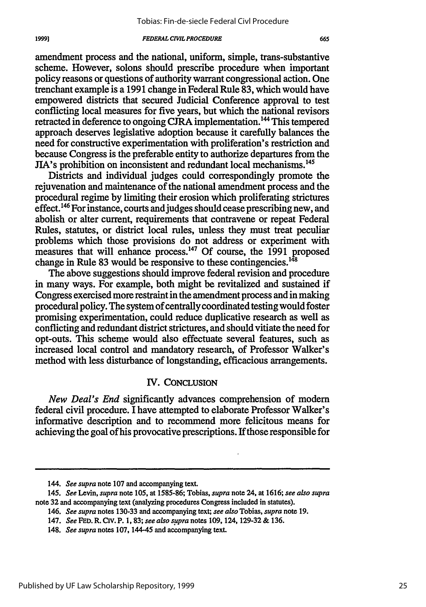amendment process and the national, uniform, simple, trans-substantive scheme. However, solons should prescribe procedure when important policy reasons or questions of authority warrant congressional action. One trenchant example is a 1991 change in Federal Rule 83, which would have empowered districts that secured Judicial Conference approval to test conflicting local measures for five years, but which the national revisors retracted in deference to ongoing CJRA implementation.<sup>144</sup> This tempered approach deserves legislative adoption because it carefully balances the need for constructive experimentation with proliferation's restriction and because Congress is the preferable entity to authorize departures from the JIA's prohibition on inconsistent and redundant local mechanisms. <sup>45</sup>

Districts and individual judges could correspondingly promote the rejuvenation and maintenance of the national amendment process and the procedural regime by limiting their erosion which proliferating strictures effect.<sup>146</sup> For instance, courts and judges should cease prescribing new, and abolish or alter current, requirements that contravene or repeat Federal Rules, statutes, or district local rules, unless they must treat peculiar problems which those provisions do not address or experiment with measures that will enhance process.<sup>147</sup> Of course, the 1991 proposed change in Rule 83 would be responsive to these contingencies. $^{148}$ 

The above suggestions should improve federal revision and procedure in many ways. For example, both might be revitalized and sustained if Congress exercised more restraint in the amendment process and in making procedural policy. The system of centrally coordinated testing would foster promising experimentation, could reduce duplicative research as well as conflicting and redundant district strictures, and should vitiate the need for opt-outs. This scheme would also effectuate several features, such as increased local control and mandatory research, of Professor Walker's method with less disturbance of longstanding, efficacious arrangements.

### IV. CONCLUSION

*New Deal's End* significantly advances comprehension of modem federal civil procedure. I have attempted to elaborate Professor Walker's informative description and to recommend more felicitous means for achieving the goal of his provocative prescriptions. If those responsible for

*<sup>144.</sup> See supra* note 107 and accompanying text.

<sup>145.</sup> *See Levin, supra* note 105, at 1585-86; Tobias, *supra* note 24, at 1616; *see also supra* note 32 and accompanying text (analyzing procedures Congress included in statutes).

<sup>146.</sup> *See supra* notes 130-33 and accompanying text; *see also* Tobias, *supra* note 19.

<sup>147.</sup> *See* FED. R. *CIV.* P. 1, *83; see also supra* notes 109, 124, 129-32 & 136.

<sup>148.</sup> *See supra* notes 107, 144-45 and accompanying text.